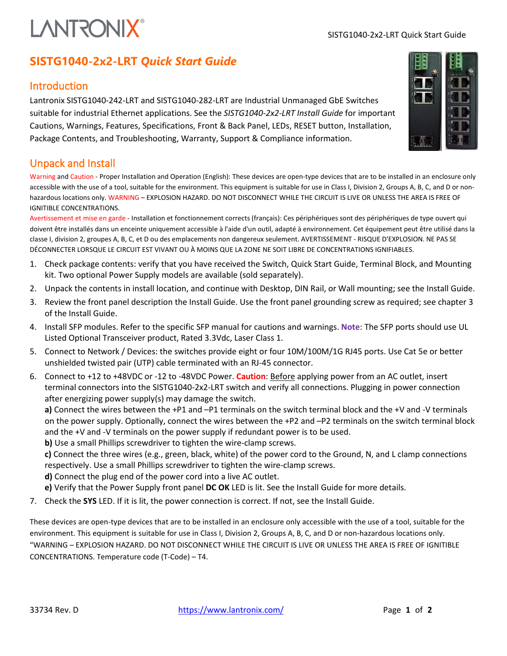# **LANTRONIX®**

# **SISTG1040-2x2-LRT** *Quick Start Guide*

### **Introduction**

Lantronix SISTG1040-242-LRT and SISTG1040-282-LRT are Industrial Unmanaged GbE Switches suitable for industrial Ethernet applications. See the *SISTG1040-2x2-LRT Install Guide* for important Cautions, Warnings, Features, Specifications, Front & Back Panel, LEDs, RESET button, Installation, Package Contents, and Troubleshooting, Warranty, Support & Compliance information.

## Unpack and Install

Warning and Caution - Proper Installation and Operation (English): These devices are open-type devices that are to be installed in an enclosure only accessible with the use of a tool, suitable for the environment. This equipment is suitable for use in Class I, Division 2, Groups A, B, C, and D or nonhazardous locations only. WARNING – EXPLOSION HAZARD. DO NOT DISCONNECT WHILE THE CIRCUIT IS LIVE OR UNLESS THE AREA IS FREE OF IGNITIBLE CONCENTRATIONS.

Avertissement et mise en garde - Installation et fonctionnement corrects (français): Ces périphériques sont des périphériques de type ouvert qui doivent être installés dans un enceinte uniquement accessible à l'aide d'un outil, adapté à environnement. Cet équipement peut être utilisé dans la classe I, division 2, groupes A, B, C, et D ou des emplacements non dangereux seulement. AVERTISSEMENT - RISQUE D'EXPLOSION. NE PAS SE DÉCONNECTER LORSQUE LE CIRCUIT EST VIVANT OU À MOINS QUE LA ZONE NE SOIT LIBRE DE CONCENTRATIONS IGNIFIABLES.

- 1. Check package contents: verify that you have received the Switch, Quick Start Guide, Terminal Block, and Mounting kit. Two optional Power Supply models are available (sold separately).
- 2. Unpack the contents in install location, and continue with Desktop, DIN Rail, or Wall mounting; see the Install Guide.
- 3. Review the front panel description the Install Guide. Use the front panel grounding screw as required; see chapter 3 of the Install Guide.
- 4. Install SFP modules. Refer to the specific SFP manual for cautions and warnings. **Note**: The SFP ports should use UL Listed Optional Transceiver product, Rated 3.3Vdc, Laser Class 1.
- 5. Connect to Network / Devices: the switches provide eight or four 10M/100M/1G RJ45 ports. Use Cat 5e or better unshielded twisted pair (UTP) cable terminated with an RJ-45 connector.
- 6. Connect to +12 to +48VDC or -12 to -48VDC Power. **Caution**: Before applying power from an AC outlet, insert terminal connectors into the SISTG1040-2x2-LRT switch and verify all connections. Plugging in power connection after energizing power supply(s) may damage the switch.

**a)** Connect the wires between the +P1 and –P1 terminals on the switch terminal block and the +V and -V terminals on the power supply. Optionally, connect the wires between the +P2 and –P2 terminals on the switch terminal block and the +V and -V terminals on the power supply if redundant power is to be used.

**b)** Use a small Phillips screwdriver to tighten the wire-clamp screws.

**c)** Connect the three wires (e.g., green, black, white) of the power cord to the Ground, N, and L clamp connections respectively. Use a small Phillips screwdriver to tighten the wire-clamp screws.

**d)** Connect the plug end of the power cord into a live AC outlet.

- **e)** Verify that the Power Supply front panel **DC OK** LED is lit. See the Install Guide for more details.
- 7. Check the **SYS** LED. If it is lit, the power connection is correct. If not, see the Install Guide.

These devices are open-type devices that are to be installed in an enclosure only accessible with the use of a tool, suitable for the environment. This equipment is suitable for use in Class I, Division 2, Groups A, B, C, and D or non-hazardous locations only. "WARNING – EXPLOSION HAZARD. DO NOT DISCONNECT WHILE THE CIRCUIT IS LIVE OR UNLESS THE AREA IS FREE OF IGNITIBLE CONCENTRATIONS. Temperature code (T-Code) – T4.